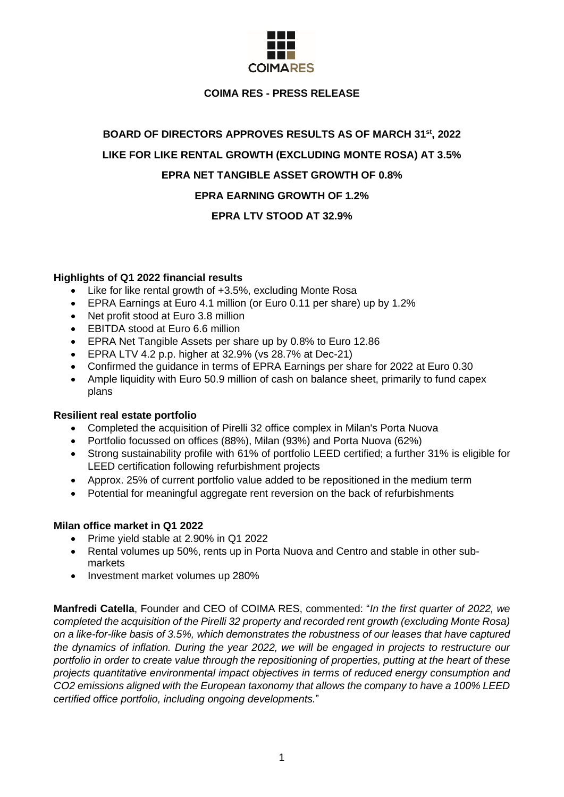

# **COIMA RES - PRESS RELEASE**

# **BOARD OF DIRECTORS APPROVES RESULTS AS OF MARCH 31 st , 2022 LIKE FOR LIKE RENTAL GROWTH (EXCLUDING MONTE ROSA) AT 3.5% EPRA NET TANGIBLE ASSET GROWTH OF 0.8% EPRA EARNING GROWTH OF 1.2%**

# **EPRA LTV STOOD AT 32.9%**

# **Highlights of Q1 2022 financial results**

- Like for like rental growth of +3.5%, excluding Monte Rosa
- EPRA Earnings at Euro 4.1 million (or Euro 0.11 per share) up by 1.2%
- Net profit stood at Euro 3.8 million
- EBITDA stood at Euro 6.6 million
- EPRA Net Tangible Assets per share up by 0.8% to Euro 12.86
- $\bullet$  EPRA LTV 4.2 p.p. higher at 32.9% (vs 28.7% at Dec-21)
- Confirmed the guidance in terms of EPRA Earnings per share for 2022 at Euro 0.30
- Ample liquidity with Euro 50.9 million of cash on balance sheet, primarily to fund capex plans

## **Resilient real estate portfolio**

- Completed the acquisition of Pirelli 32 office complex in Milan's Porta Nuova
- Portfolio focussed on offices (88%), Milan (93%) and Porta Nuova (62%)
- Strong sustainability profile with 61% of portfolio LEED certified; a further 31% is eligible for LEED certification following refurbishment projects
- Approx. 25% of current portfolio value added to be repositioned in the medium term
- Potential for meaningful aggregate rent reversion on the back of refurbishments

## **Milan office market in Q1 2022**

- Prime yield stable at 2.90% in Q1 2022
- Rental volumes up 50%, rents up in Porta Nuova and Centro and stable in other submarkets
- Investment market volumes up 280%

**Manfredi Catella**, Founder and CEO of COIMA RES, commented: "*In the first quarter of 2022, we completed the acquisition of the Pirelli 32 property and recorded rent growth (excluding Monte Rosa) on a like-for-like basis of 3.5%, which demonstrates the robustness of our leases that have captured the dynamics of inflation. During the year 2022, we will be engaged in projects to restructure our portfolio in order to create value through the repositioning of properties, putting at the heart of these projects quantitative environmental impact objectives in terms of reduced energy consumption and CO2 emissions aligned with the European taxonomy that allows the company to have a 100% LEED certified office portfolio, including ongoing developments.*"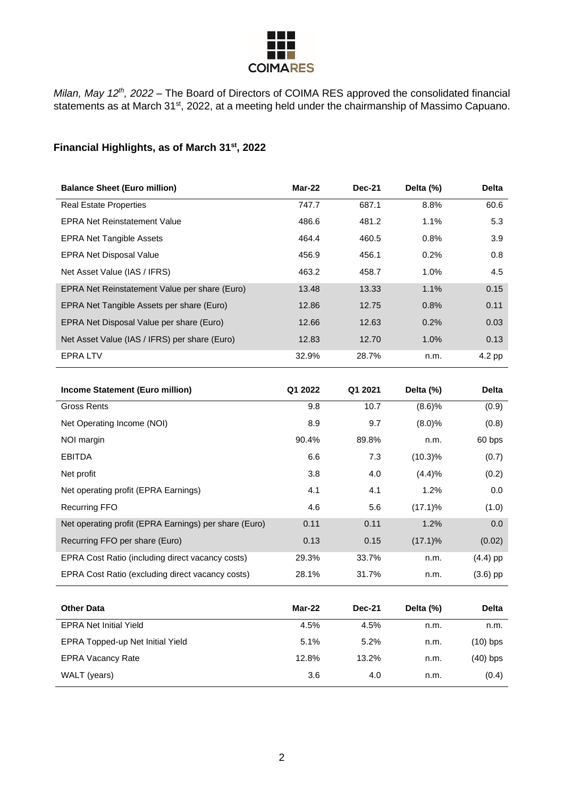

*Milan, May 12th, 2022* – The Board of Directors of COIMA RES approved the consolidated financial statements as at March 31<sup>st</sup>, 2022, at a meeting held under the chairmanship of Massimo Capuano.

# **Financial Highlights, as of March 31 st , 2022**

| <b>Balance Sheet (Euro million)</b>           | Mar-22 | <b>Dec-21</b> | Delta (%) | <b>Delta</b> |
|-----------------------------------------------|--------|---------------|-----------|--------------|
| <b>Real Estate Properties</b>                 | 747.7  | 687.1         | 8.8%      | 60.6         |
| <b>EPRA Net Reinstatement Value</b>           | 486.6  | 481.2         | 1.1%      | 5.3          |
| <b>EPRA Net Tangible Assets</b>               | 464.4  | 460.5         | 0.8%      | 3.9          |
| <b>EPRA Net Disposal Value</b>                | 456.9  | 456.1         | 0.2%      | 0.8          |
| Net Asset Value (IAS / IFRS)                  | 463.2  | 458.7         | 1.0%      | 4.5          |
| EPRA Net Reinstatement Value per share (Euro) | 13.48  | 13.33         | 1.1%      | 0.15         |
| EPRA Net Tangible Assets per share (Euro)     | 12.86  | 12.75         | 0.8%      | 0.11         |
| EPRA Net Disposal Value per share (Euro)      | 12.66  | 12.63         | 0.2%      | 0.03         |
| Net Asset Value (IAS / IFRS) per share (Euro) | 12.83  | 12.70         | 1.0%      | 0.13         |
| <b>EPRALTV</b>                                | 32.9%  | 28.7%         | n.m.      | 4.2 pp       |

| Income Statement (Euro million)                       | Q1 2022 | Q1 2021       | Delta (%)  | <b>Delta</b> |
|-------------------------------------------------------|---------|---------------|------------|--------------|
| <b>Gross Rents</b>                                    | 9.8     | 10.7          | (8.6)%     | (0.9)        |
| Net Operating Income (NOI)                            | 8.9     | 9.7           | (8.0)%     | (0.8)        |
| NOI margin                                            | 90.4%   | 89.8%         | n.m.       | 60 bps       |
| <b>EBITDA</b>                                         | 6.6     | 7.3           | $(10.3)\%$ | (0.7)        |
| Net profit                                            | 3.8     | 4.0           | (4.4)%     | (0.2)        |
| Net operating profit (EPRA Earnings)                  | 4.1     | 4.1           | 1.2%       | 0.0          |
| <b>Recurring FFO</b>                                  | 4.6     | 5.6           | $(17.1)\%$ | (1.0)        |
| Net operating profit (EPRA Earnings) per share (Euro) | 0.11    | 0.11          | 1.2%       | 0.0          |
| Recurring FFO per share (Euro)                        | 0.13    | 0.15          | $(17.1)\%$ | (0.02)       |
| EPRA Cost Ratio (including direct vacancy costs)      | 29.3%   | 33.7%         | n.m.       | $(4.4)$ pp   |
| EPRA Cost Ratio (excluding direct vacancy costs)      | 28.1%   | 31.7%         | n.m.       | $(3.6)$ pp   |
|                                                       |         |               |            |              |
| <b>Other Data</b>                                     | Mar-22  | <b>Dec-21</b> | Delta (%)  | <b>Delta</b> |
| <b>EPRA Net Initial Yield</b>                         | 4.5%    | 4.5%          | n.m.       | n.m.         |
| EPRA Topped-up Net Initial Yield                      | 5.1%    | 5.2%          | n.m.       | $(10)$ bps   |
| <b>EPRA Vacancy Rate</b>                              | 12.8%   | 13.2%         | n.m.       | $(40)$ bps   |
| WALT (years)                                          | 3.6     | 4.0           | n.m.       | (0.4)        |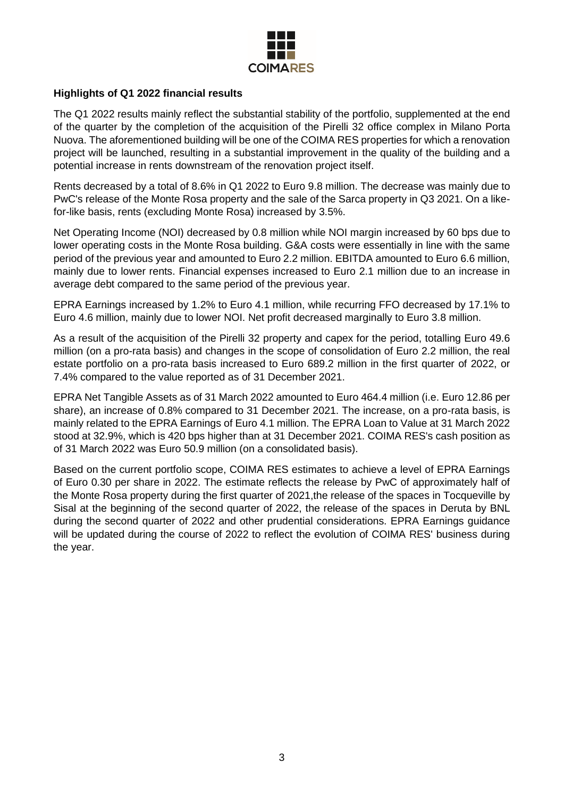

# **Highlights of Q1 2022 financial results**

The Q1 2022 results mainly reflect the substantial stability of the portfolio, supplemented at the end of the quarter by the completion of the acquisition of the Pirelli 32 office complex in Milano Porta Nuova. The aforementioned building will be one of the COIMA RES properties for which a renovation project will be launched, resulting in a substantial improvement in the quality of the building and a potential increase in rents downstream of the renovation project itself.

Rents decreased by a total of 8.6% in Q1 2022 to Euro 9.8 million. The decrease was mainly due to PwC's release of the Monte Rosa property and the sale of the Sarca property in Q3 2021. On a likefor-like basis, rents (excluding Monte Rosa) increased by 3.5%.

Net Operating Income (NOI) decreased by 0.8 million while NOI margin increased by 60 bps due to lower operating costs in the Monte Rosa building. G&A costs were essentially in line with the same period of the previous year and amounted to Euro 2.2 million. EBITDA amounted to Euro 6.6 million, mainly due to lower rents. Financial expenses increased to Euro 2.1 million due to an increase in average debt compared to the same period of the previous year.

EPRA Earnings increased by 1.2% to Euro 4.1 million, while recurring FFO decreased by 17.1% to Euro 4.6 million, mainly due to lower NOI. Net profit decreased marginally to Euro 3.8 million.

As a result of the acquisition of the Pirelli 32 property and capex for the period, totalling Euro 49.6 million (on a pro-rata basis) and changes in the scope of consolidation of Euro 2.2 million, the real estate portfolio on a pro-rata basis increased to Euro 689.2 million in the first quarter of 2022, or 7.4% compared to the value reported as of 31 December 2021.

EPRA Net Tangible Assets as of 31 March 2022 amounted to Euro 464.4 million (i.e. Euro 12.86 per share), an increase of 0.8% compared to 31 December 2021. The increase, on a pro-rata basis, is mainly related to the EPRA Earnings of Euro 4.1 million. The EPRA Loan to Value at 31 March 2022 stood at 32.9%, which is 420 bps higher than at 31 December 2021. COIMA RES's cash position as of 31 March 2022 was Euro 50.9 million (on a consolidated basis).

Based on the current portfolio scope, COIMA RES estimates to achieve a level of EPRA Earnings of Euro 0.30 per share in 2022. The estimate reflects the release by PwC of approximately half of the Monte Rosa property during the first quarter of 2021,the release of the spaces in Tocqueville by Sisal at the beginning of the second quarter of 2022, the release of the spaces in Deruta by BNL during the second quarter of 2022 and other prudential considerations. EPRA Earnings guidance will be updated during the course of 2022 to reflect the evolution of COIMA RES' business during the year.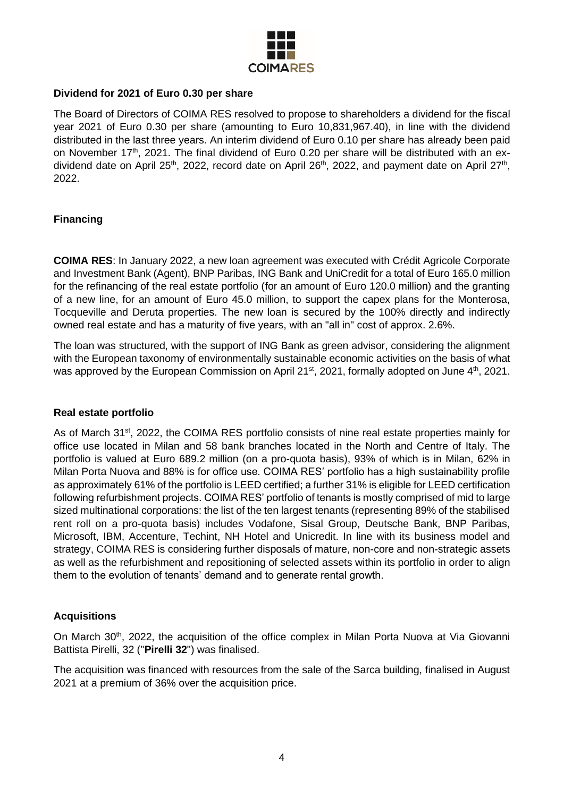

# **Dividend for 2021 of Euro 0.30 per share**

The Board of Directors of COIMA RES resolved to propose to shareholders a dividend for the fiscal year 2021 of Euro 0.30 per share (amounting to Euro 10,831,967.40), in line with the dividend distributed in the last three years. An interim dividend of Euro 0.10 per share has already been paid on November 17<sup>th</sup>, 2021. The final dividend of Euro 0.20 per share will be distributed with an exdividend date on April 25<sup>th</sup>, 2022, record date on April 26<sup>th</sup>, 2022, and payment date on April 27<sup>th</sup>, 2022.

# **Financing**

**COIMA RES**: In January 2022, a new loan agreement was executed with Crédit Agricole Corporate and Investment Bank (Agent), BNP Paribas, ING Bank and UniCredit for a total of Euro 165.0 million for the refinancing of the real estate portfolio (for an amount of Euro 120.0 million) and the granting of a new line, for an amount of Euro 45.0 million, to support the capex plans for the Monterosa, Tocqueville and Deruta properties. The new loan is secured by the 100% directly and indirectly owned real estate and has a maturity of five years, with an "all in" cost of approx. 2.6%.

The loan was structured, with the support of ING Bank as green advisor, considering the alignment with the European taxonomy of environmentally sustainable economic activities on the basis of what was approved by the European Commission on April 21<sup>st</sup>, 2021, formally adopted on June 4<sup>th</sup>, 2021.

## **Real estate portfolio**

As of March 31<sup>st</sup>, 2022, the COIMA RES portfolio consists of nine real estate properties mainly for office use located in Milan and 58 bank branches located in the North and Centre of Italy. The portfolio is valued at Euro 689.2 million (on a pro-quota basis), 93% of which is in Milan, 62% in Milan Porta Nuova and 88% is for office use. COIMA RES' portfolio has a high sustainability profile as approximately 61% of the portfolio is LEED certified; a further 31% is eligible for LEED certification following refurbishment projects. COIMA RES' portfolio of tenants is mostly comprised of mid to large sized multinational corporations: the list of the ten largest tenants (representing 89% of the stabilised rent roll on a pro-quota basis) includes Vodafone, Sisal Group, Deutsche Bank, BNP Paribas, Microsoft, IBM, Accenture, Techint, NH Hotel and Unicredit. In line with its business model and strategy, COIMA RES is considering further disposals of mature, non-core and non-strategic assets as well as the refurbishment and repositioning of selected assets within its portfolio in order to align them to the evolution of tenants' demand and to generate rental growth.

## **Acquisitions**

On March 30<sup>th</sup>, 2022, the acquisition of the office complex in Milan Porta Nuova at Via Giovanni Battista Pirelli, 32 ("**Pirelli 32**") was finalised.

The acquisition was financed with resources from the sale of the Sarca building, finalised in August 2021 at a premium of 36% over the acquisition price.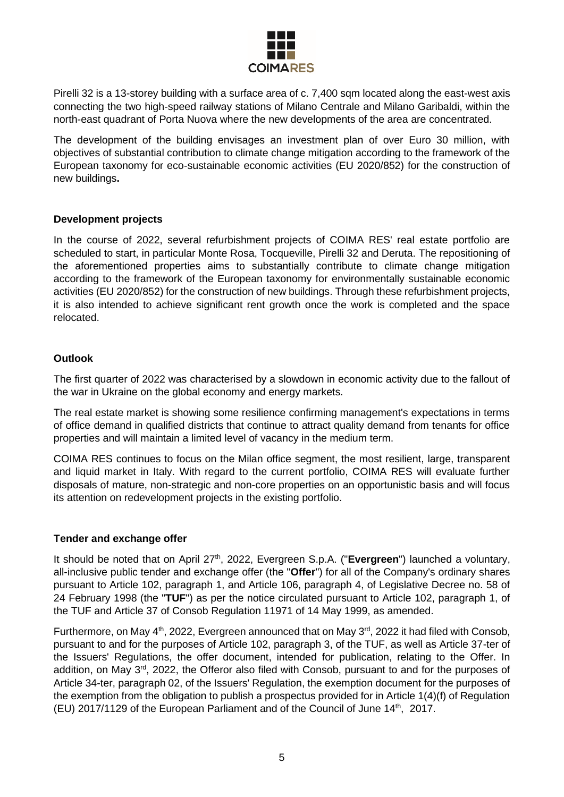

Pirelli 32 is a 13-storey building with a surface area of c. 7,400 sqm located along the east-west axis connecting the two high-speed railway stations of Milano Centrale and Milano Garibaldi, within the north-east quadrant of Porta Nuova where the new developments of the area are concentrated.

The development of the building envisages an investment plan of over Euro 30 million, with objectives of substantial contribution to climate change mitigation according to the framework of the European taxonomy for eco-sustainable economic activities (EU 2020/852) for the construction of new buildings**.**

## **Development projects**

In the course of 2022, several refurbishment projects of COIMA RES' real estate portfolio are scheduled to start, in particular Monte Rosa, Tocqueville, Pirelli 32 and Deruta. The repositioning of the aforementioned properties aims to substantially contribute to climate change mitigation according to the framework of the European taxonomy for environmentally sustainable economic activities (EU 2020/852) for the construction of new buildings. Through these refurbishment projects, it is also intended to achieve significant rent growth once the work is completed and the space relocated.

# **Outlook**

The first quarter of 2022 was characterised by a slowdown in economic activity due to the fallout of the war in Ukraine on the global economy and energy markets.

The real estate market is showing some resilience confirming management's expectations in terms of office demand in qualified districts that continue to attract quality demand from tenants for office properties and will maintain a limited level of vacancy in the medium term.

COIMA RES continues to focus on the Milan office segment, the most resilient, large, transparent and liquid market in Italy. With regard to the current portfolio, COIMA RES will evaluate further disposals of mature, non-strategic and non-core properties on an opportunistic basis and will focus its attention on redevelopment projects in the existing portfolio.

## **Tender and exchange offer**

It should be noted that on April 27<sup>th</sup>, 2022, Evergreen S.p.A. ("Evergreen") launched a voluntary, all-inclusive public tender and exchange offer (the "**Offer**") for all of the Company's ordinary shares pursuant to Article 102, paragraph 1, and Article 106, paragraph 4, of Legislative Decree no. 58 of 24 February 1998 (the "**TUF**") as per the notice circulated pursuant to Article 102, paragraph 1, of the TUF and Article 37 of Consob Regulation 11971 of 14 May 1999, as amended.

Furthermore, on May 4<sup>th</sup>, 2022, Evergreen announced that on May 3<sup>rd</sup>, 2022 it had filed with Consob, pursuant to and for the purposes of Article 102, paragraph 3, of the TUF, as well as Article 37-ter of the Issuers' Regulations, the offer document, intended for publication, relating to the Offer. In addition, on May 3<sup>rd</sup>, 2022, the Offeror also filed with Consob, pursuant to and for the purposes of Article 34-ter, paragraph 02, of the Issuers' Regulation, the exemption document for the purposes of the exemption from the obligation to publish a prospectus provided for in Article 1(4)(f) of Regulation (EU) 2017/1129 of the European Parliament and of the Council of June 14<sup>th</sup>, 2017.